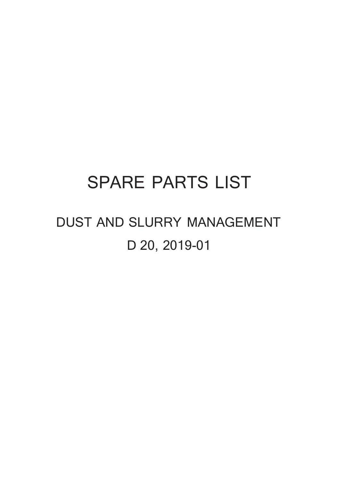## **SPARE PARTS LIST**

# **DUST AND SLURRY MANAGEMENT D 20, 2019-01**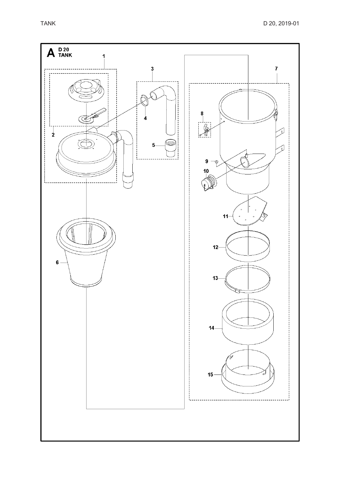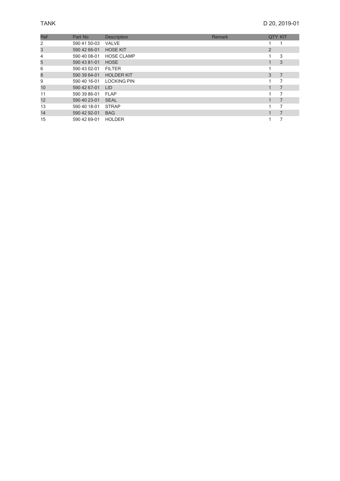### D 20, 2019-01

| Ref | Part No      | <b>Description</b> | Remark |   | <b>QTY KIT</b> |
|-----|--------------|--------------------|--------|---|----------------|
| 2   | 590 41 50-03 | <b>VALVE</b>       |        |   |                |
| 3   | 590 42 66-01 | <b>HOSE KIT</b>    |        | 2 |                |
| 4   | 590 40 08-01 | <b>HOSE CLAMP</b>  |        |   | 3              |
| 5   | 590 43 81-01 | <b>HOSE</b>        |        |   | 3              |
| 6   | 590 43 02-01 | <b>FILTER</b>      |        |   |                |
| 8   | 590 39 64-01 | <b>HOLDER KIT</b>  |        | 3 | 7              |
| 9   | 590 40 16-01 | <b>LOCKING PIN</b> |        |   |                |
| 10  | 590 42 67-01 | <b>LID</b>         |        |   | 7              |
| 11  | 590 39 86-01 | <b>FLAP</b>        |        |   | 7              |
| 12  | 590 40 23-01 | <b>SEAL</b>        |        |   | 7              |
| 13  | 590 40 18-01 | <b>STRAP</b>       |        |   |                |
| 14  | 590 42 92-01 | <b>BAG</b>         |        |   | $\overline{7}$ |
| 15  | 590 42 69-01 | <b>HOLDER</b>      |        |   |                |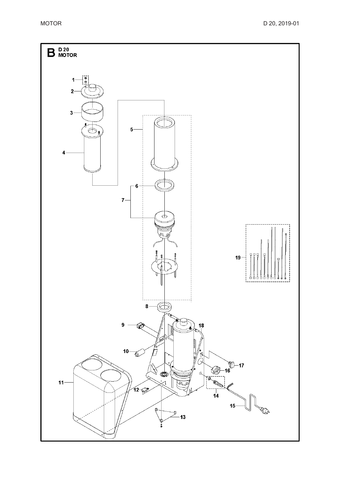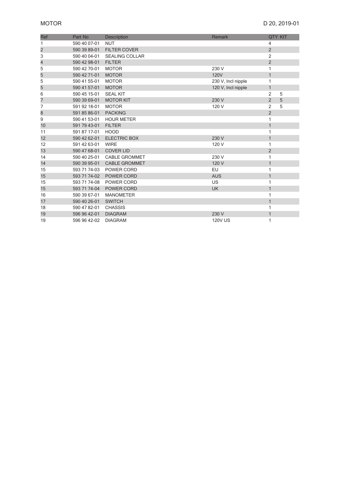| <b>Ref</b>              | Part No      | <b>Description</b>    | <b>Remark</b>      |                | <b>QTY KIT</b> |
|-------------------------|--------------|-----------------------|--------------------|----------------|----------------|
| 1                       | 590 40 07-01 | <b>NUT</b>            |                    | $\overline{4}$ |                |
| $\overline{\mathbf{c}}$ | 590 39 89-01 | <b>FILTER COVER</b>   |                    | $\overline{2}$ |                |
| 3                       | 590 40 04-01 | <b>SEALING COLLAR</b> |                    | 2              |                |
| 4                       | 590 42 98-01 | <b>FILTER</b>         |                    | $\sqrt{2}$     |                |
| 5                       | 590 42 70-01 | <b>MOTOR</b>          | 230 V              | 1              |                |
| 5                       | 590 42 71-01 | <b>MOTOR</b>          | <b>120V</b>        | $\mathbf{1}$   |                |
| 5                       | 590 41 55-01 | <b>MOTOR</b>          | 230 V, Incl nipple | 1              |                |
| 5                       | 590 41 57-01 | <b>MOTOR</b>          | 120 V, Incl nipple | $\mathbf{1}$   |                |
| 6                       | 590 45 15-01 | <b>SEAL KIT</b>       |                    | $\overline{2}$ | 5              |
| 7                       | 590 39 69-01 | <b>MOTOR KIT</b>      | 230 V              | $\overline{2}$ | 5              |
| 7                       | 591 92 18-01 | <b>MOTOR</b>          | 120 V              | $\overline{2}$ | 5              |
| 8                       | 591 85 86-01 | <b>PACKING</b>        |                    | $\overline{2}$ |                |
| 9                       | 590 41 53-01 | <b>HOUR METER</b>     |                    | 1              |                |
| 10                      | 591 79 43-01 | <b>FILTER</b>         |                    | $\mathbf{1}$   |                |
| 11                      | 591 87 17-01 | <b>HOOD</b>           |                    | 1              |                |
| 12                      | 590 42 62-01 | <b>ELECTRIC BOX</b>   | 230 V              | $\mathbf{1}$   |                |
| 12                      | 591 42 63-01 | <b>WIRE</b>           | 120 V              | 1              |                |
| 13                      | 590 47 68-01 | <b>COVER LID</b>      |                    | $\overline{2}$ |                |
| 14                      | 590 40 25-01 | <b>CABLE GROMMET</b>  | 230 V              | 1              |                |
| 14                      | 590 39 95-01 | <b>CABLE GROMMET</b>  | 120 V              | $\mathbf{1}$   |                |
| 15                      | 593 71 74-03 | POWER CORD            | EU                 | 1              |                |
| 15                      | 593 71 74-02 | POWER CORD            | <b>AUS</b>         | $\mathbf{1}$   |                |
| 15                      | 593 71 74-08 | POWER CORD            | US                 | 1              |                |
| 15                      | 593 71 74-04 | <b>POWER CORD</b>     | <b>UK</b>          | $\mathbf{1}$   |                |
| 16                      | 590 39 67-01 | <b>MANOMETER</b>      |                    | 1              |                |
| 17                      | 590 40 26-01 | <b>SWITCH</b>         |                    | $\mathbf{1}$   |                |
| 18                      | 590 47 82-01 | <b>CHASSIS</b>        |                    | 1              |                |
| 19                      | 596 96 42-01 | <b>DIAGRAM</b>        | 230 V              | $\mathbf{1}$   |                |
| 19                      | 596 96 42-02 | <b>DIAGRAM</b>        | <b>120V US</b>     | 1              |                |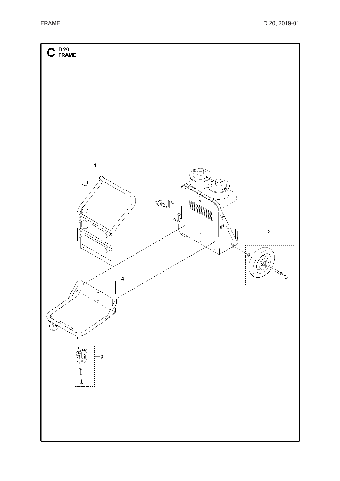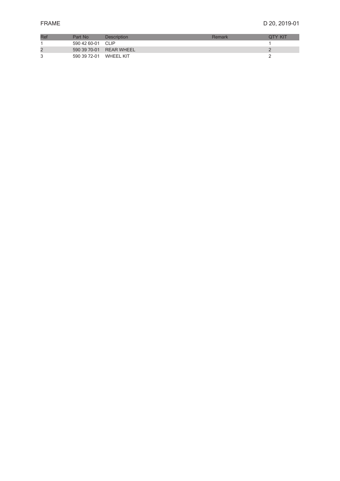| Rei | Part No      | <b>Description</b>      | Remark | <b>OTY KIT</b> |
|-----|--------------|-------------------------|--------|----------------|
|     | 590 42 60-01 | CLIP                    |        |                |
|     |              | 590 39 70-01 REAR WHEEL |        |                |
|     | 590 39 72-01 | <b>WHEEL KIT</b>        |        |                |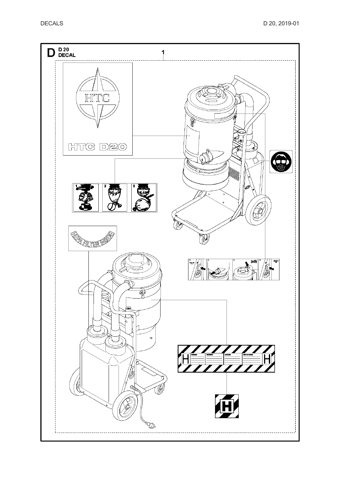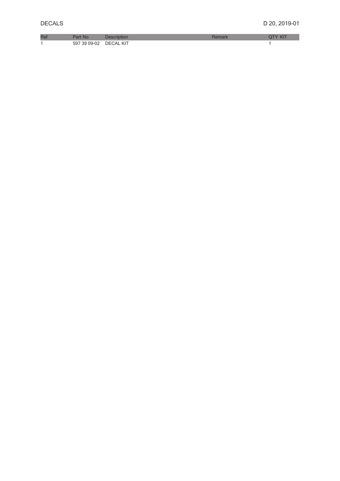| D. | IN C    |                   |  |
|----|---------|-------------------|--|
|    | 59<br>. | KIT<br>ו⊣ר<br>:АI |  |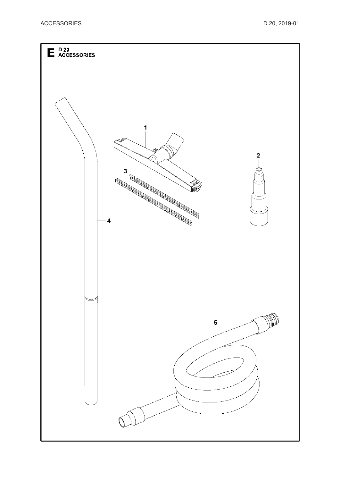